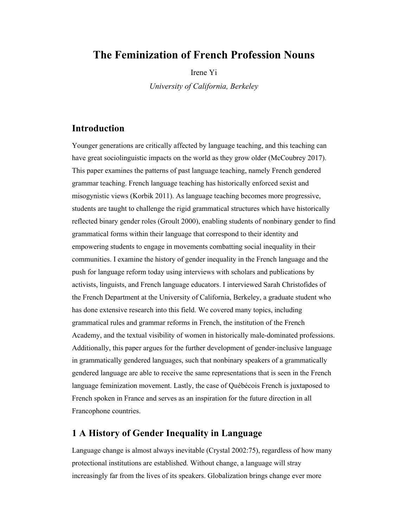# **The Feminization of French Profession Nouns**

Irene Yi

*University of California, Berkeley*

## **Introduction**

Younger generations are critically affected by language teaching, and this teaching can have great sociolinguistic impacts on the world as they grow older (McCoubrey 2017). This paper examines the patterns of past language teaching, namely French gendered grammar teaching. French language teaching has historically enforced sexist and misogynistic views (Korbik 2011). As language teaching becomes more progressive, students are taught to challenge the rigid grammatical structures which have historically reflected binary gender roles (Groult 2000), enabling students of nonbinary gender to find grammatical forms within their language that correspond to their identity and empowering students to engage in movements combatting social inequality in their communities. I examine the history of gender inequality in the French language and the push for language reform today using interviews with scholars and publications by activists, linguists, and French language educators. I interviewed Sarah Christofides of the French Department at the University of California, Berkeley, a graduate student who has done extensive research into this field. We covered many topics, including grammatical rules and grammar reforms in French, the institution of the French Academy, and the textual visibility of women in historically male-dominated professions. Additionally, this paper argues for the further development of gender-inclusive language in grammatically gendered languages, such that nonbinary speakers of a grammatically gendered language are able to receive the same representations that is seen in the French language feminization movement. Lastly, the case of Québécois French is juxtaposed to French spoken in France and serves as an inspiration for the future direction in all Francophone countries.

### **1 A History of Gender Inequality in Language**

Language change is almost always inevitable (Crystal 2002:75), regardless of how many protectional institutions are established. Without change, a language will stray increasingly far from the lives of its speakers. Globalization brings change ever more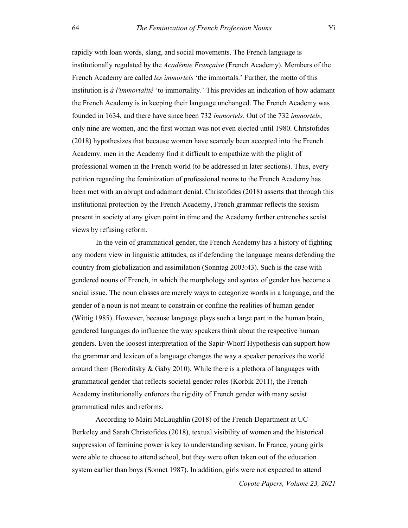rapidly with loan words, slang, and social movements. The French language is institutionally regulated by the *Académie Française* (French Academy). Members of the French Academy are called *les immortels* 'the immortals.' Further, the motto of this institution is *à l'immortalité* 'to immortality.' This provides an indication of how adamant the French Academy is in keeping their language unchanged. The French Academy was founded in 1634, and there have since been 732 *immortels*. Out of the 732 *immortels*, only nine are women, and the first woman was not even elected until 1980. Christofides (2018) hypothesizes that because women have scarcely been accepted into the French Academy, men in the Academy find it difficult to empathize with the plight of professional women in the French world (to be addressed in later sections). Thus, every petition regarding the feminization of professional nouns to the French Academy has been met with an abrupt and adamant denial. Christofides (2018) asserts that through this institutional protection by the French Academy, French grammar reflects the sexism present in society at any given point in time and the Academy further entrenches sexist views by refusing reform.

In the vein of grammatical gender, the French Academy has a history of fighting any modern view in linguistic attitudes, as if defending the language means defending the country from globalization and assimilation (Sonntag 2003:43). Such is the case with gendered nouns of French, in which the morphology and syntax of gender has become a social issue. The noun classes are merely ways to categorize words in a language, and the gender of a noun is not meant to constrain or confine the realities of human gender (Wittig 1985). However, because language plays such a large part in the human brain, gendered languages do influence the way speakers think about the respective human genders. Even the loosest interpretation of the Sapir-Whorf Hypothesis can support how the grammar and lexicon of a language changes the way a speaker perceives the world around them (Boroditsky & Gaby 2010). While there is a plethora of languages with grammatical gender that reflects societal gender roles (Korbik 2011), the French Academy institutionally enforces the rigidity of French gender with many sexist grammatical rules and reforms.

According to Mairi McLaughlin (2018) of the French Department at UC Berkeley and Sarah Christofides (2018), textual visibility of women and the historical suppression of feminine power is key to understanding sexism. In France, young girls were able to choose to attend school, but they were often taken out of the education system earlier than boys (Sonnet 1987). In addition, girls were not expected to attend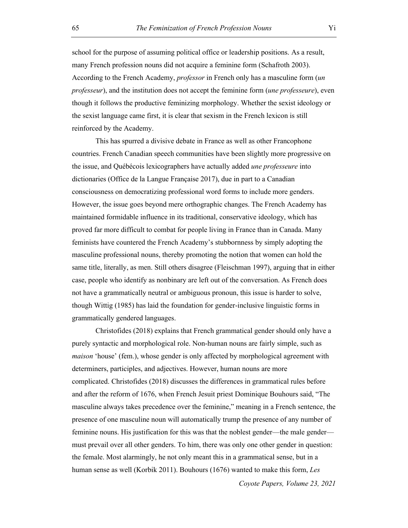school for the purpose of assuming political office or leadership positions. As a result, many French profession nouns did not acquire a feminine form (Schafroth 2003). According to the French Academy, *professor* in French only has a masculine form (*un professeur*), and the institution does not accept the feminine form (*une professeure*), even though it follows the productive feminizing morphology. Whether the sexist ideology or the sexist language came first, it is clear that sexism in the French lexicon is still reinforced by the Academy.

This has spurred a divisive debate in France as well as other Francophone countries. French Canadian speech communities have been slightly more progressive on the issue, and Québécois lexicographers have actually added *une professeure* into dictionaries (Office de la Langue Française 2017), due in part to a Canadian consciousness on democratizing professional word forms to include more genders. However, the issue goes beyond mere orthographic changes. The French Academy has maintained formidable influence in its traditional, conservative ideology, which has proved far more difficult to combat for people living in France than in Canada. Many feminists have countered the French Academy's stubbornness by simply adopting the masculine professional nouns, thereby promoting the notion that women can hold the same title, literally, as men. Still others disagree (Fleischman 1997), arguing that in either case, people who identify as nonbinary are left out of the conversation. As French does not have a grammatically neutral or ambiguous pronoun, this issue is harder to solve, though Wittig (1985) has laid the foundation for gender-inclusive linguistic forms in grammatically gendered languages.

Christofides (2018) explains that French grammatical gender should only have a purely syntactic and morphological role. Non-human nouns are fairly simple, such as *maison* 'house' (fem.), whose gender is only affected by morphological agreement with determiners, participles, and adjectives. However, human nouns are more complicated. Christofides (2018) discusses the differences in grammatical rules before and after the reform of 1676, when French Jesuit priest Dominique Bouhours said, "The masculine always takes precedence over the feminine," meaning in a French sentence, the presence of one masculine noun will automatically trump the presence of any number of feminine nouns. His justification for this was that the noblest gender—the male gender must prevail over all other genders. To him, there was only one other gender in question: the female. Most alarmingly, he not only meant this in a grammatical sense, but in a human sense as well (Korbik 2011). Bouhours (1676) wanted to make this form, *Les*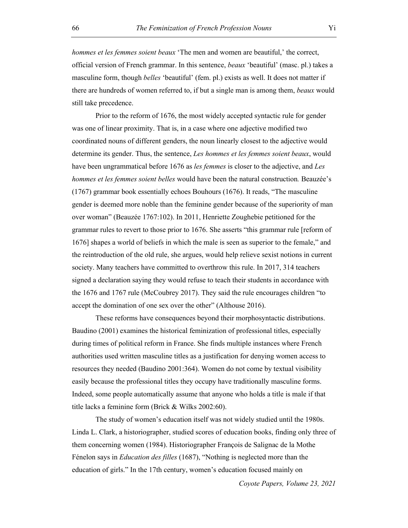*hommes et les femmes soient beaux* 'The men and women are beautiful,' the correct, official version of French grammar. In this sentence, *beaux* 'beautiful' (masc. pl.) takes a masculine form, though *belles* 'beautiful' (fem. pl.) exists as well. It does not matter if there are hundreds of women referred to, if but a single man is among them, *beaux* would still take precedence.

Prior to the reform of 1676, the most widely accepted syntactic rule for gender was one of linear proximity. That is, in a case where one adjective modified two coordinated nouns of different genders, the noun linearly closest to the adjective would determine its gender. Thus, the sentence, *Les hommes et les femmes soient beaux*, would have been ungrammatical before 1676 as *les femmes* is closer to the adjective, and *Les hommes et les femmes soient belles* would have been the natural construction*.* Beauzée's (1767) grammar book essentially echoes Bouhours (1676). It reads, "The masculine gender is deemed more noble than the feminine gender because of the superiority of man over woman" (Beauzée 1767:102). In 2011, Henriette Zoughebie petitioned for the grammar rules to revert to those prior to 1676. She asserts "this grammar rule [reform of 1676] shapes a world of beliefs in which the male is seen as superior to the female," and the reintroduction of the old rule, she argues, would help relieve sexist notions in current society. Many teachers have committed to overthrow this rule. In 2017, 314 teachers signed a declaration saying they would refuse to teach their students in accordance with the 1676 and 1767 rule (McCoubrey 2017). They said the rule encourages children "to accept the domination of one sex over the other" (Althouse 2016).

These reforms have consequences beyond their morphosyntactic distributions. Baudino (2001) examines the historical feminization of professional titles, especially during times of political reform in France. She finds multiple instances where French authorities used written masculine titles as a justification for denying women access to resources they needed (Baudino 2001:364). Women do not come by textual visibility easily because the professional titles they occupy have traditionally masculine forms. Indeed, some people automatically assume that anyone who holds a title is male if that title lacks a feminine form (Brick & Wilks 2002:60).

The study of women's education itself was not widely studied until the 1980s. Linda L. Clark, a historiographer, studied scores of education books, finding only three of them concerning women (1984). Historiographer François de Salignac de la Mothe Fénelon says in *Education des filles* (1687), "Nothing is neglected more than the education of girls." In the 17th century, women's education focused mainly on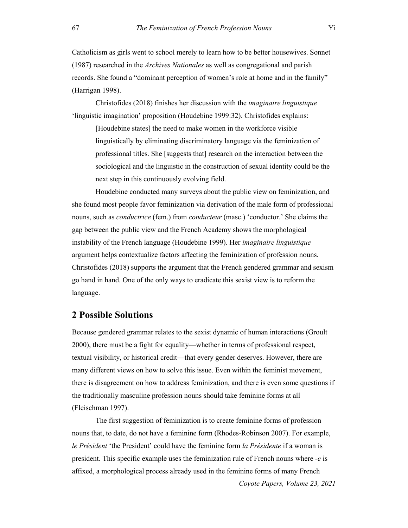Catholicism as girls went to school merely to learn how to be better housewives. Sonnet (1987) researched in the *Archives Nationales* as well as congregational and parish records. She found a "dominant perception of women's role at home and in the family" (Harrigan 1998).

Christofides (2018) finishes her discussion with the *imaginaire linguistique* 'linguistic imagination' proposition (Houdebine 1999:32). Christofides explains:

[Houdebine states] the need to make women in the workforce visible linguistically by eliminating discriminatory language via the feminization of professional titles. She [suggests that] research on the interaction between the sociological and the linguistic in the construction of sexual identity could be the next step in this continuously evolving field.

Houdebine conducted many surveys about the public view on feminization, and she found most people favor feminization via derivation of the male form of professional nouns, such as *conductrice* (fem.) from *conducteur* (masc.) 'conductor.' She claims the gap between the public view and the French Academy shows the morphological instability of the French language (Houdebine 1999). Her *imaginaire linguistique* argument helps contextualize factors affecting the feminization of profession nouns. Christofides (2018) supports the argument that the French gendered grammar and sexism go hand in hand. One of the only ways to eradicate this sexist view is to reform the language.

#### **2 Possible Solutions**

Because gendered grammar relates to the sexist dynamic of human interactions (Groult 2000), there must be a fight for equality—whether in terms of professional respect, textual visibility, or historical credit—that every gender deserves. However, there are many different views on how to solve this issue. Even within the feminist movement, there is disagreement on how to address feminization, and there is even some questions if the traditionally masculine profession nouns should take feminine forms at all (Fleischman 1997).

The first suggestion of feminization is to create feminine forms of profession nouns that, to date, do not have a feminine form (Rhodes-Robinson 2007). For example, *le Président* 'the President' could have the feminine form *la Présidente* if a woman is president. This specific example uses the feminization rule of French nouns where *-e* is affixed, a morphological process already used in the feminine forms of many French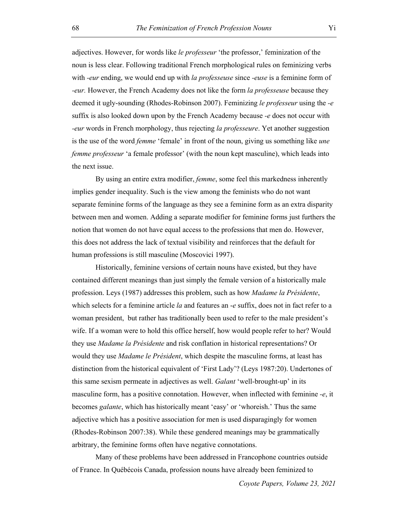adjectives. However, for words like *le professeur* 'the professor,' feminization of the noun is less clear. Following traditional French morphological rules on feminizing verbs with *-eur* ending, we would end up with *la professeuse* since *-euse* is a feminine form of *-eur.* However, the French Academy does not like the form *la professeuse* because they deemed it ugly-sounding (Rhodes-Robinson 2007). Feminizing *le professeur* using the *-e* suffix is also looked down upon by the French Academy because *-e* does not occur with *-eur* words in French morphology, thus rejecting *la professeure*. Yet another suggestion is the use of the word *femme* 'female' in front of the noun, giving us something like *une femme professeur* 'a female professor' (with the noun kept masculine), which leads into the next issue.

By using an entire extra modifier, *femme*, some feel this markedness inherently implies gender inequality. Such is the view among the feminists who do not want separate feminine forms of the language as they see a feminine form as an extra disparity between men and women. Adding a separate modifier for feminine forms just furthers the notion that women do not have equal access to the professions that men do. However, this does not address the lack of textual visibility and reinforces that the default for human professions is still masculine (Moscovici 1997).

Historically, feminine versions of certain nouns have existed, but they have contained different meanings than just simply the female version of a historically male profession. Leys (1987) addresses this problem, such as how *Madame la Présidente*, which selects for a feminine article *la* and features an -*e* suffix, does not in fact refer to a woman president, but rather has traditionally been used to refer to the male president's wife. If a woman were to hold this office herself, how would people refer to her? Would they use *Madame la Présidente* and risk conflation in historical representations? Or would they use *Madame le Président*, which despite the masculine forms, at least has distinction from the historical equivalent of 'First Lady'? (Leys 1987:20). Undertones of this same sexism permeate in adjectives as well. *Galant* 'well-brought-up' in its masculine form, has a positive connotation. However, when inflected with feminine *-e*, it becomes *galante*, which has historically meant 'easy' or 'whoreish.' Thus the same adjective which has a positive association for men is used disparagingly for women (Rhodes-Robinson 2007:38). While these gendered meanings may be grammatically arbitrary, the feminine forms often have negative connotations.

Many of these problems have been addressed in Francophone countries outside of France. In Québécois Canada, profession nouns have already been feminized to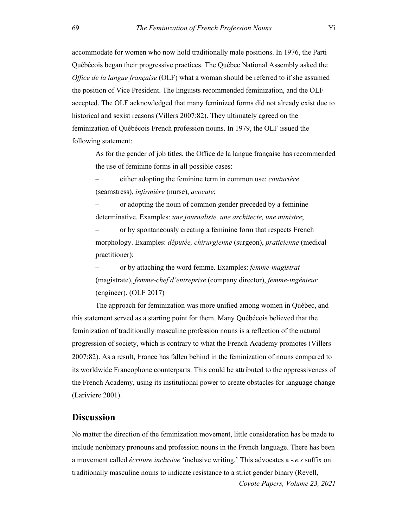accommodate for women who now hold traditionally male positions. In 1976, the Parti Québécois began their progressive practices. The Québec National Assembly asked the *Office de la langue française* (OLF) what a woman should be referred to if she assumed the position of Vice President. The linguists recommended feminization, and the OLF accepted. The OLF acknowledged that many feminized forms did not already exist due to historical and sexist reasons (Villers 2007:82). They ultimately agreed on the feminization of Québécois French profession nouns. In 1979, the OLF issued the following statement:

As for the gender of job titles, the Office de la langue française has recommended the use of feminine forms in all possible cases:

– either adopting the feminine term in common use: *couturière* (seamstress), *infirmière* (nurse), *avocate*;

– or adopting the noun of common gender preceded by a feminine determinative. Examples: *une journaliste, une architecte, une ministre*;

– or by spontaneously creating a feminine form that respects French morphology. Examples: *députée, chirurgienne* (surgeon), *praticienne* (medical practitioner);

– or by attaching the word femme. Examples: *femme-magistrat* (magistrate), *femme-chef d'entreprise* (company director), *femme-ingénieur* (engineer). (OLF 2017)

The approach for feminization was more unified among women in Québec, and this statement served as a starting point for them. Many Québécois believed that the feminization of traditionally masculine profession nouns is a reflection of the natural progression of society, which is contrary to what the French Academy promotes (Villers 2007:82). As a result, France has fallen behind in the feminization of nouns compared to its worldwide Francophone counterparts. This could be attributed to the oppressiveness of the French Academy, using its institutional power to create obstacles for language change (Lariviere 2001).

#### **Discussion**

No matter the direction of the feminization movement, little consideration has be made to include nonbinary pronouns and profession nouns in the French language. There has been a movement called *écriture inclusive* 'inclusive writing.' This advocates a *-.e.s* suffix on traditionally masculine nouns to indicate resistance to a strict gender binary (Revell,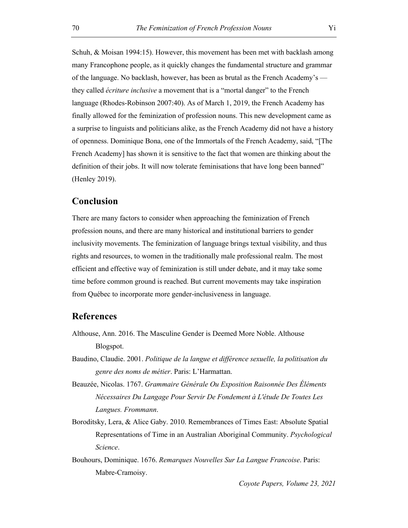Schuh, & Moisan 1994:15). However, this movement has been met with backlash among many Francophone people, as it quickly changes the fundamental structure and grammar of the language. No backlash, however, has been as brutal as the French Academy's they called *écriture inclusive* a movement that is a "mortal danger" to the French language (Rhodes-Robinson 2007:40). As of March 1, 2019, the French Academy has finally allowed for the feminization of profession nouns. This new development came as a surprise to linguists and politicians alike, as the French Academy did not have a history of openness. Dominique Bona, one of the Immortals of the French Academy, said, "[The French Academy] has shown it is sensitive to the fact that women are thinking about the definition of their jobs. It will now tolerate feminisations that have long been banned" (Henley 2019).

#### **Conclusion**

There are many factors to consider when approaching the feminization of French profession nouns, and there are many historical and institutional barriers to gender inclusivity movements. The feminization of language brings textual visibility, and thus rights and resources, to women in the traditionally male professional realm. The most efficient and effective way of feminization is still under debate, and it may take some time before common ground is reached. But current movements may take inspiration from Québec to incorporate more gender-inclusiveness in language.

## **References**

- Althouse, Ann. 2016. The Masculine Gender is Deemed More Noble. Althouse Blogspot.
- Baudino, Claudie. 2001. *Politique de la langue et différence sexuelle, la politisation du genre des noms de métier*. Paris: L'Harmattan.
- Beauzée, Nicolas. 1767. *Grammaire Générale Ou Exposition Raisonnée Des Éléments Nécessaires Du Langage Pour Servir De Fondement à L'étude De Toutes Les Langues. Frommann*.
- Boroditsky, Lera, & Alice Gaby. 2010. Remembrances of Times East: Absolute Spatial Representations of Time in an Australian Aboriginal Community. *Psychological Science*.
- Bouhours, Dominique. 1676. *Remarques Nouvelles Sur La Langue Francoise*. Paris: Mabre-Cramoisy.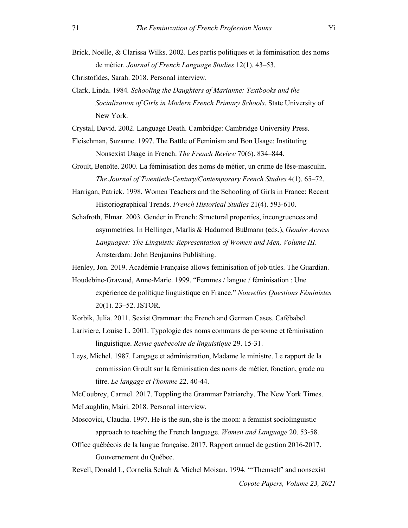Brick, Noëlle, & Clarissa Wilks. 2002. Les partis politiques et la féminisation des noms de métier. *Journal of French Language Studies* 12(1). 43–53.

Christofides, Sarah. 2018. Personal interview.

Clark, Linda. 1984*. Schooling the Daughters of Marianne: Textbooks and the Socialization of Girls in Modern French Primary Schools*. State University of New York.

Crystal, David. 2002. Language Death. Cambridge: Cambridge University Press.

- Fleischman, Suzanne. 1997. The Battle of Feminism and Bon Usage: Instituting Nonsexist Usage in French. *The French Review* 70(6). 834–844.
- Groult, Benoîte. 2000. La féminisation des noms de métier, un crime de lèse‐masculin. *The Journal of Twentieth-Century/Contemporary French Studies* 4(1). 65–72.
- Harrigan, Patrick. 1998. Women Teachers and the Schooling of Girls in France: Recent Historiographical Trends. *French Historical Studies* 21(4). 593-610.
- Schafroth, Elmar. 2003. Gender in French: Structural properties, incongruences and asymmetries. In Hellinger, Marlis & Hadumod Bußmann (eds.), *Gender Across Languages: The Linguistic Representation of Women and Men, Volume III*. Amsterdam: John Benjamins Publishing.
- Henley, Jon. 2019. Académie Française allows feminisation of job titles. The Guardian.
- Houdebine-Gravaud, Anne-Marie. 1999. "Femmes / langue / féminisation : Une expérience de politique linguistique en France." *Nouvelles Questions Féministes* 20(1). 23–52. JSTOR.
- Korbik, Julia. 2011. Sexist Grammar: the French and German Cases. Cafébabel.
- Lariviere, Louise L. 2001. Typologie des noms communs de personne et féminisation linguistique. *Revue quebecoise de linguistique* 29. 15-31.
- Leys, Michel. 1987. Langage et administration, Madame le ministre. Le rapport de la commission Groult sur la féminisation des noms de métier, fonction, grade ou titre. *Le langage et l'homme* 22. 40-44.

McCoubrey, Carmel. 2017. Toppling the Grammar Patriarchy. The New York Times. McLaughlin, Mairi. 2018. Personal interview.

- Moscovici, Claudia. 1997. He is the sun, she is the moon: a feminist sociolinguistic approach to teaching the French language. *Women and Language* 20. 53-58.
- Office québécois de la langue française. 2017. Rapport annuel de gestion 2016-2017. Gouvernement du Québec.
- *Coyote Papers, Volume 23, 2021* Revell, Donald L, Cornelia Schuh & Michel Moisan. 1994. "'Themself' and nonsexist